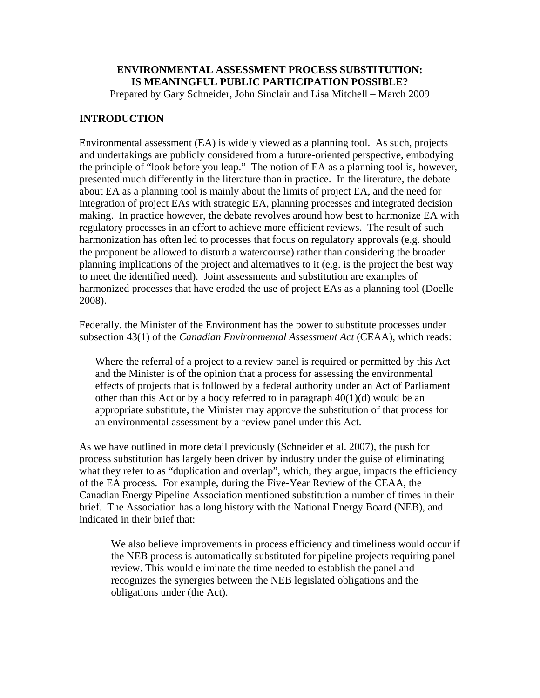### **ENVIRONMENTAL ASSESSMENT PROCESS SUBSTITUTION: IS MEANINGFUL PUBLIC PARTICIPATION POSSIBLE?**

Prepared by Gary Schneider, John Sinclair and Lisa Mitchell – March 2009

### **INTRODUCTION**

Environmental assessment (EA) is widely viewed as a planning tool. As such, projects and undertakings are publicly considered from a future-oriented perspective, embodying the principle of "look before you leap." The notion of EA as a planning tool is, however, presented much differently in the literature than in practice. In the literature, the debate about EA as a planning tool is mainly about the limits of project EA, and the need for integration of project EAs with strategic EA, planning processes and integrated decision making. In practice however, the debate revolves around how best to harmonize EA with regulatory processes in an effort to achieve more efficient reviews. The result of such harmonization has often led to processes that focus on regulatory approvals (e.g. should the proponent be allowed to disturb a watercourse) rather than considering the broader planning implications of the project and alternatives to it (e.g. is the project the best way to meet the identified need). Joint assessments and substitution are examples of harmonized processes that have eroded the use of project EAs as a planning tool (Doelle 2008).

Federally, the Minister of the Environment has the power to substitute processes under subsection 43(1) of the *Canadian Environmental Assessment Act* (CEAA), which reads:

Where the referral of a project to a review panel is required or permitted by this Act and the Minister is of the opinion that a process for assessing the environmental effects of projects that is followed by a federal authority under an Act of Parliament other than this Act or by a body referred to in paragraph 40(1)(d) would be an appropriate substitute, the Minister may approve the substitution of that process for an environmental assessment by a review panel under this Act.

As we have outlined in more detail previously (Schneider et al. 2007), the push for process substitution has largely been driven by industry under the guise of eliminating what they refer to as "duplication and overlap", which, they argue, impacts the efficiency of the EA process. For example, during the Five-Year Review of the CEAA, the Canadian Energy Pipeline Association mentioned substitution a number of times in their brief. The Association has a long history with the National Energy Board (NEB), and indicated in their brief that:

We also believe improvements in process efficiency and timeliness would occur if the NEB process is automatically substituted for pipeline projects requiring panel review. This would eliminate the time needed to establish the panel and recognizes the synergies between the NEB legislated obligations and the obligations under (the Act).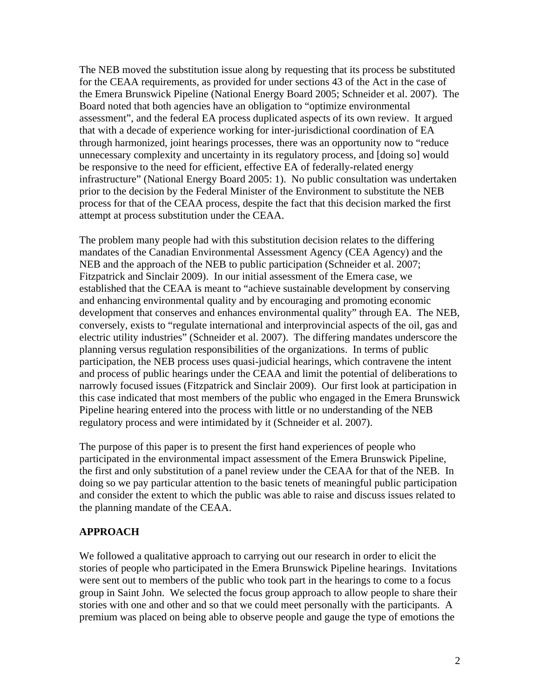The NEB moved the substitution issue along by requesting that its process be substituted for the CEAA requirements, as provided for under sections 43 of the Act in the case of the Emera Brunswick Pipeline (National Energy Board 2005; Schneider et al. 2007). The Board noted that both agencies have an obligation to "optimize environmental assessment", and the federal EA process duplicated aspects of its own review. It argued that with a decade of experience working for inter-jurisdictional coordination of EA through harmonized, joint hearings processes, there was an opportunity now to "reduce unnecessary complexity and uncertainty in its regulatory process, and [doing so] would be responsive to the need for efficient, effective EA of federally-related energy infrastructure" (National Energy Board 2005: 1). No public consultation was undertaken prior to the decision by the Federal Minister of the Environment to substitute the NEB process for that of the CEAA process, despite the fact that this decision marked the first attempt at process substitution under the CEAA.

The problem many people had with this substitution decision relates to the differing mandates of the Canadian Environmental Assessment Agency (CEA Agency) and the NEB and the approach of the NEB to public participation (Schneider et al. 2007; Fitzpatrick and Sinclair 2009). In our initial assessment of the Emera case, we established that the CEAA is meant to "achieve sustainable development by conserving and enhancing environmental quality and by encouraging and promoting economic development that conserves and enhances environmental quality" through EA. The NEB, conversely, exists to "regulate international and interprovincial aspects of the oil, gas and electric utility industries" (Schneider et al. 2007). The differing mandates underscore the planning versus regulation responsibilities of the organizations. In terms of public participation, the NEB process uses quasi-judicial hearings, which contravene the intent and process of public hearings under the CEAA and limit the potential of deliberations to narrowly focused issues (Fitzpatrick and Sinclair 2009). Our first look at participation in this case indicated that most members of the public who engaged in the Emera Brunswick Pipeline hearing entered into the process with little or no understanding of the NEB regulatory process and were intimidated by it (Schneider et al. 2007).

The purpose of this paper is to present the first hand experiences of people who participated in the environmental impact assessment of the Emera Brunswick Pipeline, the first and only substitution of a panel review under the CEAA for that of the NEB. In doing so we pay particular attention to the basic tenets of meaningful public participation and consider the extent to which the public was able to raise and discuss issues related to the planning mandate of the CEAA.

#### **APPROACH**

We followed a qualitative approach to carrying out our research in order to elicit the stories of people who participated in the Emera Brunswick Pipeline hearings. Invitations were sent out to members of the public who took part in the hearings to come to a focus group in Saint John. We selected the focus group approach to allow people to share their stories with one and other and so that we could meet personally with the participants. A premium was placed on being able to observe people and gauge the type of emotions the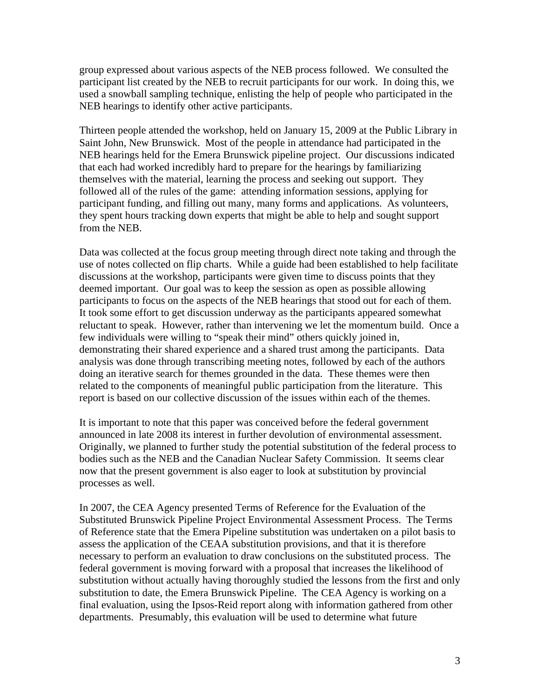group expressed about various aspects of the NEB process followed. We consulted the participant list created by the NEB to recruit participants for our work. In doing this, we used a snowball sampling technique, enlisting the help of people who participated in the NEB hearings to identify other active participants.

Thirteen people attended the workshop, held on January 15, 2009 at the Public Library in Saint John, New Brunswick. Most of the people in attendance had participated in the NEB hearings held for the Emera Brunswick pipeline project. Our discussions indicated that each had worked incredibly hard to prepare for the hearings by familiarizing themselves with the material, learning the process and seeking out support. They followed all of the rules of the game: attending information sessions, applying for participant funding, and filling out many, many forms and applications. As volunteers, they spent hours tracking down experts that might be able to help and sought support from the NEB.

Data was collected at the focus group meeting through direct note taking and through the use of notes collected on flip charts. While a guide had been established to help facilitate discussions at the workshop, participants were given time to discuss points that they deemed important. Our goal was to keep the session as open as possible allowing participants to focus on the aspects of the NEB hearings that stood out for each of them. It took some effort to get discussion underway as the participants appeared somewhat reluctant to speak. However, rather than intervening we let the momentum build. Once a few individuals were willing to "speak their mind" others quickly joined in, demonstrating their shared experience and a shared trust among the participants. Data analysis was done through transcribing meeting notes, followed by each of the authors doing an iterative search for themes grounded in the data. These themes were then related to the components of meaningful public participation from the literature. This report is based on our collective discussion of the issues within each of the themes.

It is important to note that this paper was conceived before the federal government announced in late 2008 its interest in further devolution of environmental assessment. Originally, we planned to further study the potential substitution of the federal process to bodies such as the NEB and the Canadian Nuclear Safety Commission. It seems clear now that the present government is also eager to look at substitution by provincial processes as well.

In 2007, the CEA Agency presented Terms of Reference for the Evaluation of the Substituted Brunswick Pipeline Project Environmental Assessment Process. The Terms of Reference state that the Emera Pipeline substitution was undertaken on a pilot basis to assess the application of the CEAA substitution provisions, and that it is therefore necessary to perform an evaluation to draw conclusions on the substituted process. The federal government is moving forward with a proposal that increases the likelihood of substitution without actually having thoroughly studied the lessons from the first and only substitution to date, the Emera Brunswick Pipeline. The CEA Agency is working on a final evaluation, using the Ipsos-Reid report along with information gathered from other departments. Presumably, this evaluation will be used to determine what future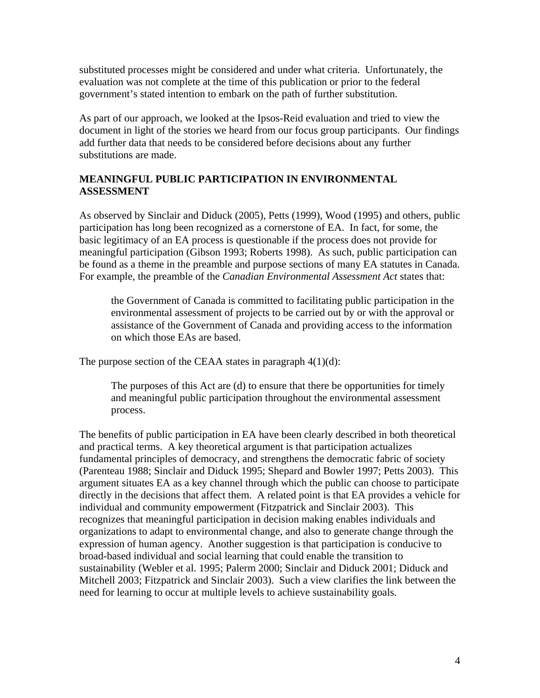substituted processes might be considered and under what criteria. Unfortunately, the evaluation was not complete at the time of this publication or prior to the federal government's stated intention to embark on the path of further substitution.

As part of our approach, we looked at the Ipsos-Reid evaluation and tried to view the document in light of the stories we heard from our focus group participants. Our findings add further data that needs to be considered before decisions about any further substitutions are made.

## **MEANINGFUL PUBLIC PARTICIPATION IN ENVIRONMENTAL ASSESSMENT**

As observed by Sinclair and Diduck (2005), Petts (1999), Wood (1995) and others, public participation has long been recognized as a cornerstone of EA. In fact, for some, the basic legitimacy of an EA process is questionable if the process does not provide for meaningful participation (Gibson 1993; Roberts 1998). As such, public participation can be found as a theme in the preamble and purpose sections of many EA statutes in Canada. For example, the preamble of the *Canadian Environmental Assessment Act* states that:

the Government of Canada is committed to facilitating public participation in the environmental assessment of projects to be carried out by or with the approval or assistance of the Government of Canada and providing access to the information on which those EAs are based.

The purpose section of the CEAA states in paragraph  $4(1)(d)$ :

The purposes of this Act are (d) to ensure that there be opportunities for timely and meaningful public participation throughout the environmental assessment process.

The benefits of public participation in EA have been clearly described in both theoretical and practical terms. A key theoretical argument is that participation actualizes fundamental principles of democracy, and strengthens the democratic fabric of society (Parenteau 1988; Sinclair and Diduck 1995; Shepard and Bowler 1997; Petts 2003). This argument situates EA as a key channel through which the public can choose to participate directly in the decisions that affect them. A related point is that EA provides a vehicle for individual and community empowerment (Fitzpatrick and Sinclair 2003). This recognizes that meaningful participation in decision making enables individuals and organizations to adapt to environmental change, and also to generate change through the expression of human agency. Another suggestion is that participation is conducive to broad-based individual and social learning that could enable the transition to sustainability (Webler et al. 1995; Palerm 2000; Sinclair and Diduck 2001; Diduck and Mitchell 2003; Fitzpatrick and Sinclair 2003). Such a view clarifies the link between the need for learning to occur at multiple levels to achieve sustainability goals.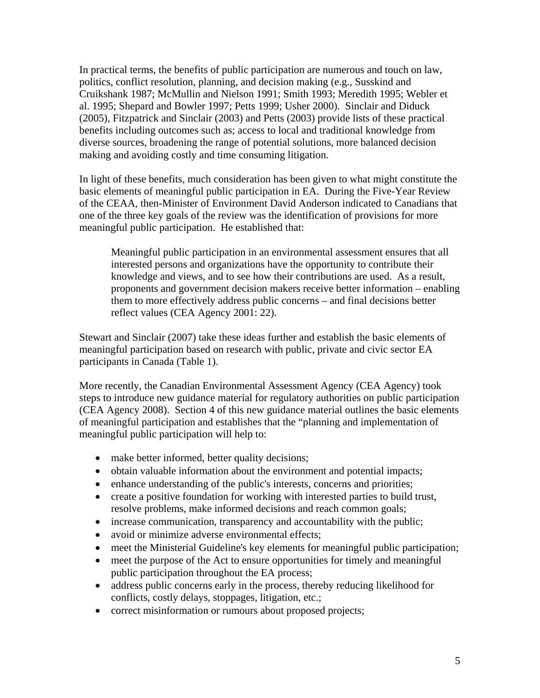In practical terms, the benefits of public participation are numerous and touch on law, politics, conflict resolution, planning, and decision making (e.g., Susskind and Cruikshank 1987; McMullin and Nielson 1991; Smith 1993; Meredith 1995; Webler et al. 1995; Shepard and Bowler 1997; Petts 1999; Usher 2000). Sinclair and Diduck (2005), Fitzpatrick and Sinclair (2003) and Petts (2003) provide lists of these practical benefits including outcomes such as; access to local and traditional knowledge from diverse sources, broadening the range of potential solutions, more balanced decision making and avoiding costly and time consuming litigation.

In light of these benefits, much consideration has been given to what might constitute the basic elements of meaningful public participation in EA. During the Five-Year Review of the CEAA, then-Minister of Environment David Anderson indicated to Canadians that one of the three key goals of the review was the identification of provisions for more meaningful public participation. He established that:

Meaningful public participation in an environmental assessment ensures that all interested persons and organizations have the opportunity to contribute their knowledge and views, and to see how their contributions are used. As a result, proponents and government decision makers receive better information – enabling them to more effectively address public concerns – and final decisions better reflect values (CEA Agency 2001: 22).

Stewart and Sinclair (2007) take these ideas further and establish the basic elements of meaningful participation based on research with public, private and civic sector EA participants in Canada (Table 1).

More recently, the Canadian Environmental Assessment Agency (CEA Agency) took steps to introduce new guidance material for regulatory authorities on public participation (CEA Agency 2008). Section 4 of this new guidance material outlines the basic elements of meaningful participation and establishes that the "planning and implementation of meaningful public participation will help to:

- make better informed, better quality decisions;
- obtain valuable information about the environment and potential impacts;
- enhance understanding of the public's interests, concerns and priorities;
- create a positive foundation for working with interested parties to build trust, resolve problems, make informed decisions and reach common goals;
- increase communication, transparency and accountability with the public;
- avoid or minimize adverse environmental effects;
- meet the Ministerial Guideline's key elements for meaningful public participation;
- meet the purpose of the Act to ensure opportunities for timely and meaningful public participation throughout the EA process;
- address public concerns early in the process, thereby reducing likelihood for conflicts, costly delays, stoppages, litigation, etc.;
- correct misinformation or rumours about proposed projects;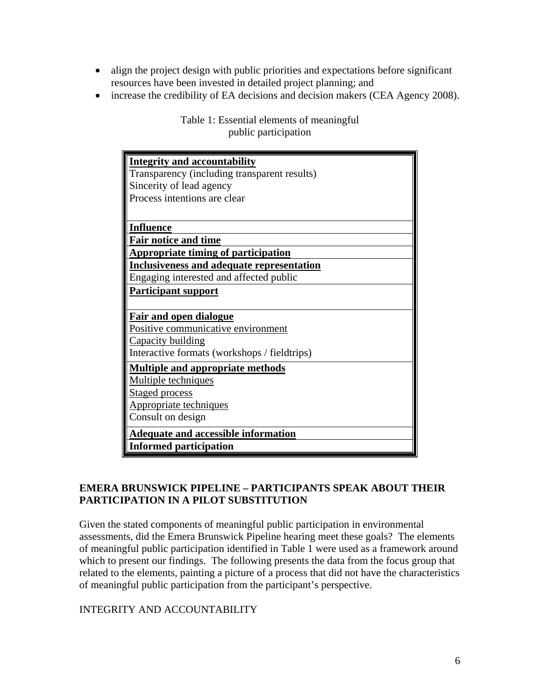- align the project design with public priorities and expectations before significant resources have been invested in detailed project planning; and
- increase the credibility of EA decisions and decision makers (CEA Agency 2008).

| <b>Integrity and accountability</b>              |
|--------------------------------------------------|
| Transparency (including transparent results)     |
| Sincerity of lead agency                         |
| Process intentions are clear                     |
|                                                  |
| <b>Influence</b>                                 |
| <b>Fair notice and time</b>                      |
| <b>Appropriate timing of participation</b>       |
| <b>Inclusiveness and adequate representation</b> |
| Engaging interested and affected public          |
| <b>Participant support</b>                       |
|                                                  |
| <b>Fair and open dialogue</b>                    |
| Positive communicative environment               |
| Capacity building                                |
| Interactive formats (workshops / fieldtrips)     |
| <b>Multiple and appropriate methods</b>          |
| Multiple techniques                              |
| <b>Staged process</b>                            |
| <b>Appropriate techniques</b>                    |
| Consult on design                                |
| <b>Adequate and accessible information</b>       |
| <b>Informed participation</b>                    |

Table 1: Essential elements of meaningful public participation

# **EMERA BRUNSWICK PIPELINE – PARTICIPANTS SPEAK ABOUT THEIR PARTICIPATION IN A PILOT SUBSTITUTION**

Given the stated components of meaningful public participation in environmental assessments, did the Emera Brunswick Pipeline hearing meet these goals? The elements of meaningful public participation identified in Table 1 were used as a framework around which to present our findings. The following presents the data from the focus group that related to the elements, painting a picture of a process that did not have the characteristics of meaningful public participation from the participant's perspective.

# INTEGRITY AND ACCOUNTABILITY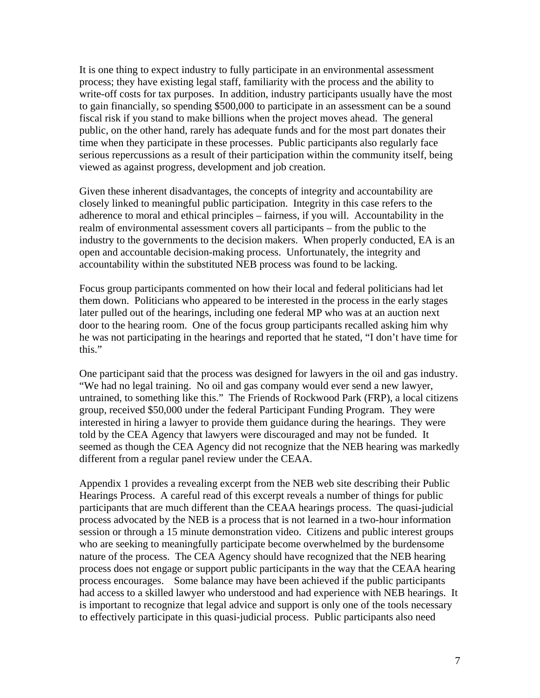It is one thing to expect industry to fully participate in an environmental assessment process; they have existing legal staff, familiarity with the process and the ability to write-off costs for tax purposes. In addition, industry participants usually have the most to gain financially, so spending \$500,000 to participate in an assessment can be a sound fiscal risk if you stand to make billions when the project moves ahead. The general public, on the other hand, rarely has adequate funds and for the most part donates their time when they participate in these processes. Public participants also regularly face serious repercussions as a result of their participation within the community itself, being viewed as against progress, development and job creation.

Given these inherent disadvantages, the concepts of integrity and accountability are closely linked to meaningful public participation. Integrity in this case refers to the adherence to moral and ethical principles – fairness, if you will. Accountability in the realm of environmental assessment covers all participants – from the public to the industry to the governments to the decision makers. When properly conducted, EA is an open and accountable decision-making process. Unfortunately, the integrity and accountability within the substituted NEB process was found to be lacking.

Focus group participants commented on how their local and federal politicians had let them down. Politicians who appeared to be interested in the process in the early stages later pulled out of the hearings, including one federal MP who was at an auction next door to the hearing room. One of the focus group participants recalled asking him why he was not participating in the hearings and reported that he stated, "I don't have time for this."

One participant said that the process was designed for lawyers in the oil and gas industry. "We had no legal training. No oil and gas company would ever send a new lawyer, untrained, to something like this." The Friends of Rockwood Park (FRP), a local citizens group, received \$50,000 under the federal Participant Funding Program. They were interested in hiring a lawyer to provide them guidance during the hearings. They were told by the CEA Agency that lawyers were discouraged and may not be funded. It seemed as though the CEA Agency did not recognize that the NEB hearing was markedly different from a regular panel review under the CEAA.

Appendix 1 provides a revealing excerpt from the NEB web site describing their Public Hearings Process. A careful read of this excerpt reveals a number of things for public participants that are much different than the CEAA hearings process. The quasi-judicial process advocated by the NEB is a process that is not learned in a two-hour information session or through a 15 minute demonstration video. Citizens and public interest groups who are seeking to meaningfully participate become overwhelmed by the burdensome nature of the process. The CEA Agency should have recognized that the NEB hearing process does not engage or support public participants in the way that the CEAA hearing process encourages. Some balance may have been achieved if the public participants had access to a skilled lawyer who understood and had experience with NEB hearings. It is important to recognize that legal advice and support is only one of the tools necessary to effectively participate in this quasi-judicial process. Public participants also need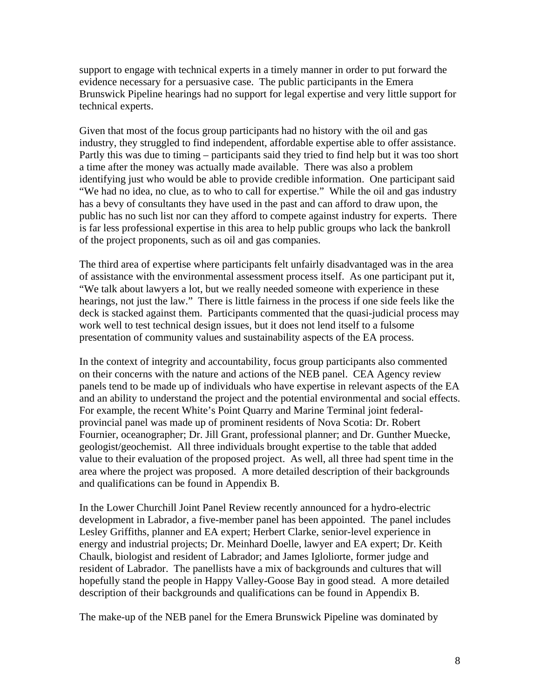support to engage with technical experts in a timely manner in order to put forward the evidence necessary for a persuasive case. The public participants in the Emera Brunswick Pipeline hearings had no support for legal expertise and very little support for technical experts.

Given that most of the focus group participants had no history with the oil and gas industry, they struggled to find independent, affordable expertise able to offer assistance. Partly this was due to timing – participants said they tried to find help but it was too short a time after the money was actually made available. There was also a problem identifying just who would be able to provide credible information. One participant said "We had no idea, no clue, as to who to call for expertise." While the oil and gas industry has a bevy of consultants they have used in the past and can afford to draw upon, the public has no such list nor can they afford to compete against industry for experts. There is far less professional expertise in this area to help public groups who lack the bankroll of the project proponents, such as oil and gas companies.

The third area of expertise where participants felt unfairly disadvantaged was in the area of assistance with the environmental assessment process itself. As one participant put it, "We talk about lawyers a lot, but we really needed someone with experience in these hearings, not just the law." There is little fairness in the process if one side feels like the deck is stacked against them. Participants commented that the quasi-judicial process may work well to test technical design issues, but it does not lend itself to a fulsome presentation of community values and sustainability aspects of the EA process.

In the context of integrity and accountability, focus group participants also commented on their concerns with the nature and actions of the NEB panel. CEA Agency review panels tend to be made up of individuals who have expertise in relevant aspects of the EA and an ability to understand the project and the potential environmental and social effects. For example, the recent White's Point Quarry and Marine Terminal joint federalprovincial panel was made up of prominent residents of Nova Scotia: Dr. Robert Fournier, oceanographer; Dr. Jill Grant, professional planner; and Dr. Gunther Muecke, geologist/geochemist. All three individuals brought expertise to the table that added value to their evaluation of the proposed project. As well, all three had spent time in the area where the project was proposed. A more detailed description of their backgrounds and qualifications can be found in Appendix B.

In the Lower Churchill Joint Panel Review recently announced for a hydro-electric development in Labrador, a five-member panel has been appointed. The panel includes Lesley Griffiths, planner and EA expert; Herbert Clarke, senior-level experience in energy and industrial projects; Dr. Meinhard Doelle, lawyer and EA expert; Dr. Keith Chaulk, biologist and resident of Labrador; and James Igloliorte, former judge and resident of Labrador. The panellists have a mix of backgrounds and cultures that will hopefully stand the people in Happy Valley-Goose Bay in good stead. A more detailed description of their backgrounds and qualifications can be found in Appendix B.

The make-up of the NEB panel for the Emera Brunswick Pipeline was dominated by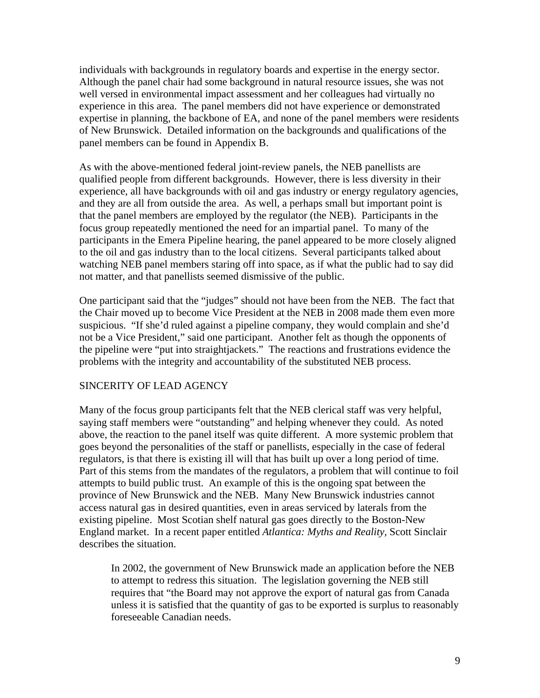individuals with backgrounds in regulatory boards and expertise in the energy sector. Although the panel chair had some background in natural resource issues, she was not well versed in environmental impact assessment and her colleagues had virtually no experience in this area. The panel members did not have experience or demonstrated expertise in planning, the backbone of EA, and none of the panel members were residents of New Brunswick. Detailed information on the backgrounds and qualifications of the panel members can be found in Appendix B.

As with the above-mentioned federal joint-review panels, the NEB panellists are qualified people from different backgrounds. However, there is less diversity in their experience, all have backgrounds with oil and gas industry or energy regulatory agencies, and they are all from outside the area. As well, a perhaps small but important point is that the panel members are employed by the regulator (the NEB). Participants in the focus group repeatedly mentioned the need for an impartial panel. To many of the participants in the Emera Pipeline hearing, the panel appeared to be more closely aligned to the oil and gas industry than to the local citizens. Several participants talked about watching NEB panel members staring off into space, as if what the public had to say did not matter, and that panellists seemed dismissive of the public.

One participant said that the "judges" should not have been from the NEB. The fact that the Chair moved up to become Vice President at the NEB in 2008 made them even more suspicious. "If she'd ruled against a pipeline company, they would complain and she'd not be a Vice President," said one participant. Another felt as though the opponents of the pipeline were "put into straightjackets." The reactions and frustrations evidence the problems with the integrity and accountability of the substituted NEB process.

#### SINCERITY OF LEAD AGENCY

Many of the focus group participants felt that the NEB clerical staff was very helpful, saying staff members were "outstanding" and helping whenever they could. As noted above, the reaction to the panel itself was quite different. A more systemic problem that goes beyond the personalities of the staff or panellists, especially in the case of federal regulators, is that there is existing ill will that has built up over a long period of time. Part of this stems from the mandates of the regulators, a problem that will continue to foil attempts to build public trust. An example of this is the ongoing spat between the province of New Brunswick and the NEB. Many New Brunswick industries cannot access natural gas in desired quantities, even in areas serviced by laterals from the existing pipeline. Most Scotian shelf natural gas goes directly to the Boston-New England market. In a recent paper entitled *Atlantica: Myths and Reality,* Scott Sinclair describes the situation.

In 2002, the government of New Brunswick made an application before the NEB to attempt to redress this situation. The legislation governing the NEB still requires that "the Board may not approve the export of natural gas from Canada unless it is satisfied that the quantity of gas to be exported is surplus to reasonably foreseeable Canadian needs.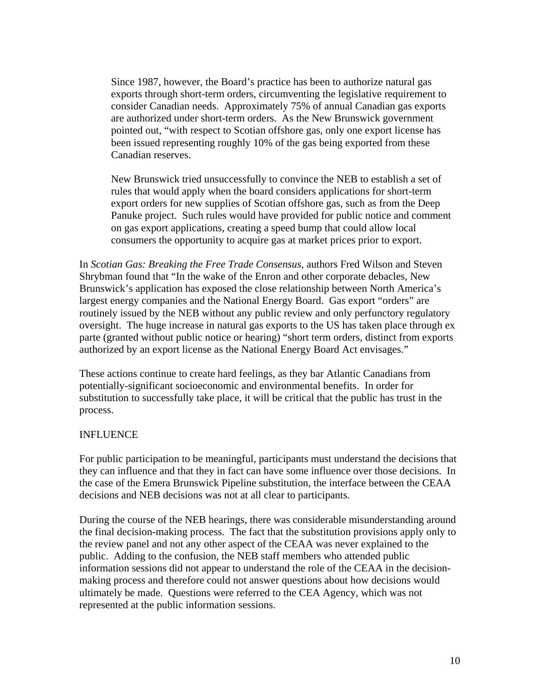Since 1987, however, the Board's practice has been to authorize natural gas exports through short-term orders, circumventing the legislative requirement to consider Canadian needs. Approximately 75% of annual Canadian gas exports are authorized under short-term orders. As the New Brunswick government pointed out, "with respect to Scotian offshore gas, only one export license has been issued representing roughly 10% of the gas being exported from these Canadian reserves.

New Brunswick tried unsuccessfully to convince the NEB to establish a set of rules that would apply when the board considers applications for short-term export orders for new supplies of Scotian offshore gas, such as from the Deep Panuke project. Such rules would have provided for public notice and comment on gas export applications, creating a speed bump that could allow local consumers the opportunity to acquire gas at market prices prior to export.

In *Scotian Gas: Breaking the Free Trade Consensus*, authors Fred Wilson and Steven Shrybman found that "In the wake of the Enron and other corporate debacles, New Brunswick's application has exposed the close relationship between North America's largest energy companies and the National Energy Board. Gas export "orders" are routinely issued by the NEB without any public review and only perfunctory regulatory oversight. The huge increase in natural gas exports to the US has taken place through ex parte (granted without public notice or hearing) "short term orders, distinct from exports authorized by an export license as the National Energy Board Act envisages."

These actions continue to create hard feelings, as they bar Atlantic Canadians from potentially-significant socioeconomic and environmental benefits. In order for substitution to successfully take place, it will be critical that the public has trust in the process.

#### INFLUENCE

For public participation to be meaningful, participants must understand the decisions that they can influence and that they in fact can have some influence over those decisions. In the case of the Emera Brunswick Pipeline substitution, the interface between the CEAA decisions and NEB decisions was not at all clear to participants.

During the course of the NEB hearings, there was considerable misunderstanding around the final decision-making process. The fact that the substitution provisions apply only to the review panel and not any other aspect of the CEAA was never explained to the public. Adding to the confusion, the NEB staff members who attended public information sessions did not appear to understand the role of the CEAA in the decisionmaking process and therefore could not answer questions about how decisions would ultimately be made. Questions were referred to the CEA Agency, which was not represented at the public information sessions.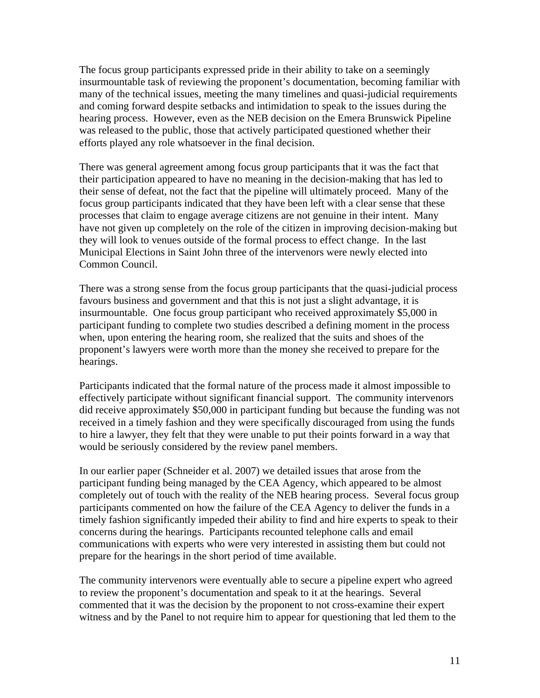The focus group participants expressed pride in their ability to take on a seemingly insurmountable task of reviewing the proponent's documentation, becoming familiar with many of the technical issues, meeting the many timelines and quasi-judicial requirements and coming forward despite setbacks and intimidation to speak to the issues during the hearing process. However, even as the NEB decision on the Emera Brunswick Pipeline was released to the public, those that actively participated questioned whether their efforts played any role whatsoever in the final decision.

There was general agreement among focus group participants that it was the fact that their participation appeared to have no meaning in the decision-making that has led to their sense of defeat, not the fact that the pipeline will ultimately proceed. Many of the focus group participants indicated that they have been left with a clear sense that these processes that claim to engage average citizens are not genuine in their intent. Many have not given up completely on the role of the citizen in improving decision-making but they will look to venues outside of the formal process to effect change. In the last Municipal Elections in Saint John three of the intervenors were newly elected into Common Council.

There was a strong sense from the focus group participants that the quasi-judicial process favours business and government and that this is not just a slight advantage, it is insurmountable. One focus group participant who received approximately \$5,000 in participant funding to complete two studies described a defining moment in the process when, upon entering the hearing room, she realized that the suits and shoes of the proponent's lawyers were worth more than the money she received to prepare for the hearings.

Participants indicated that the formal nature of the process made it almost impossible to effectively participate without significant financial support. The community intervenors did receive approximately \$50,000 in participant funding but because the funding was not received in a timely fashion and they were specifically discouraged from using the funds to hire a lawyer, they felt that they were unable to put their points forward in a way that would be seriously considered by the review panel members.

In our earlier paper (Schneider et al. 2007) we detailed issues that arose from the participant funding being managed by the CEA Agency, which appeared to be almost completely out of touch with the reality of the NEB hearing process. Several focus group participants commented on how the failure of the CEA Agency to deliver the funds in a timely fashion significantly impeded their ability to find and hire experts to speak to their concerns during the hearings. Participants recounted telephone calls and email communications with experts who were very interested in assisting them but could not prepare for the hearings in the short period of time available.

The community intervenors were eventually able to secure a pipeline expert who agreed to review the proponent's documentation and speak to it at the hearings. Several commented that it was the decision by the proponent to not cross-examine their expert witness and by the Panel to not require him to appear for questioning that led them to the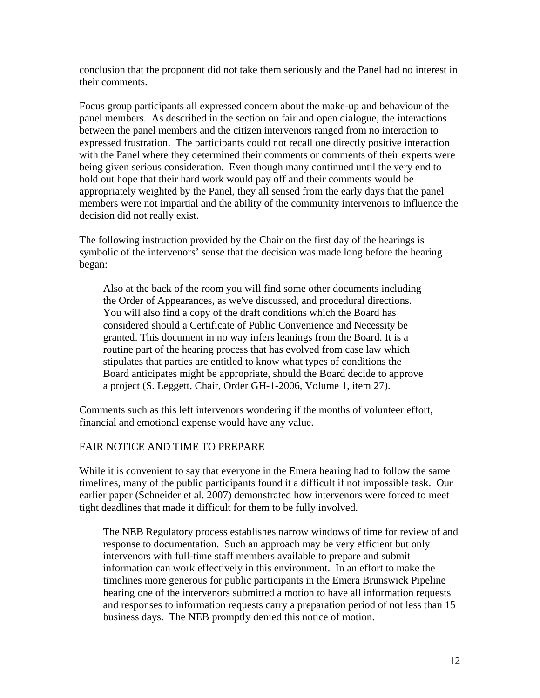conclusion that the proponent did not take them seriously and the Panel had no interest in their comments.

Focus group participants all expressed concern about the make-up and behaviour of the panel members. As described in the section on fair and open dialogue, the interactions between the panel members and the citizen intervenors ranged from no interaction to expressed frustration. The participants could not recall one directly positive interaction with the Panel where they determined their comments or comments of their experts were being given serious consideration. Even though many continued until the very end to hold out hope that their hard work would pay off and their comments would be appropriately weighted by the Panel, they all sensed from the early days that the panel members were not impartial and the ability of the community intervenors to influence the decision did not really exist.

The following instruction provided by the Chair on the first day of the hearings is symbolic of the intervenors' sense that the decision was made long before the hearing began:

Also at the back of the room you will find some other documents including the Order of Appearances, as we've discussed, and procedural directions. You will also find a copy of the draft conditions which the Board has considered should a Certificate of Public Convenience and Necessity be granted. This document in no way infers leanings from the Board. It is a routine part of the hearing process that has evolved from case law which stipulates that parties are entitled to know what types of conditions the Board anticipates might be appropriate, should the Board decide to approve a project (S. Leggett, Chair, Order GH-1-2006, Volume 1, item 27).

Comments such as this left intervenors wondering if the months of volunteer effort, financial and emotional expense would have any value.

#### FAIR NOTICE AND TIME TO PREPARE

While it is convenient to say that everyone in the Emera hearing had to follow the same timelines, many of the public participants found it a difficult if not impossible task. Our earlier paper (Schneider et al. 2007) demonstrated how intervenors were forced to meet tight deadlines that made it difficult for them to be fully involved.

The NEB Regulatory process establishes narrow windows of time for review of and response to documentation. Such an approach may be very efficient but only intervenors with full-time staff members available to prepare and submit information can work effectively in this environment. In an effort to make the timelines more generous for public participants in the Emera Brunswick Pipeline hearing one of the intervenors submitted a motion to have all information requests and responses to information requests carry a preparation period of not less than 15 business days. The NEB promptly denied this notice of motion.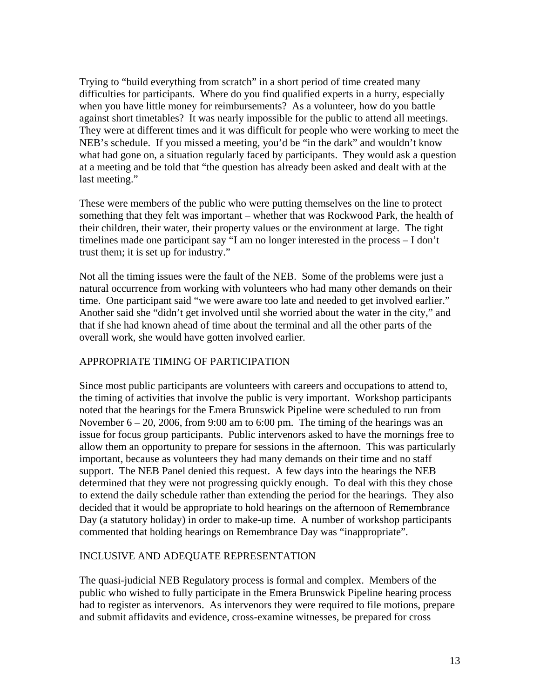Trying to "build everything from scratch" in a short period of time created many difficulties for participants. Where do you find qualified experts in a hurry, especially when you have little money for reimbursements? As a volunteer, how do you battle against short timetables? It was nearly impossible for the public to attend all meetings. They were at different times and it was difficult for people who were working to meet the NEB's schedule. If you missed a meeting, you'd be "in the dark" and wouldn't know what had gone on, a situation regularly faced by participants. They would ask a question at a meeting and be told that "the question has already been asked and dealt with at the last meeting."

These were members of the public who were putting themselves on the line to protect something that they felt was important – whether that was Rockwood Park, the health of their children, their water, their property values or the environment at large. The tight timelines made one participant say "I am no longer interested in the process – I don't trust them; it is set up for industry."

Not all the timing issues were the fault of the NEB. Some of the problems were just a natural occurrence from working with volunteers who had many other demands on their time. One participant said "we were aware too late and needed to get involved earlier." Another said she "didn't get involved until she worried about the water in the city," and that if she had known ahead of time about the terminal and all the other parts of the overall work, she would have gotten involved earlier.

## APPROPRIATE TIMING OF PARTICIPATION

Since most public participants are volunteers with careers and occupations to attend to, the timing of activities that involve the public is very important. Workshop participants noted that the hearings for the Emera Brunswick Pipeline were scheduled to run from November  $6 - 20$ , 2006, from 9:00 am to 6:00 pm. The timing of the hearings was an issue for focus group participants. Public intervenors asked to have the mornings free to allow them an opportunity to prepare for sessions in the afternoon. This was particularly important, because as volunteers they had many demands on their time and no staff support. The NEB Panel denied this request. A few days into the hearings the NEB determined that they were not progressing quickly enough. To deal with this they chose to extend the daily schedule rather than extending the period for the hearings. They also decided that it would be appropriate to hold hearings on the afternoon of Remembrance Day (a statutory holiday) in order to make-up time. A number of workshop participants commented that holding hearings on Remembrance Day was "inappropriate".

#### INCLUSIVE AND ADEQUATE REPRESENTATION

The quasi-judicial NEB Regulatory process is formal and complex. Members of the public who wished to fully participate in the Emera Brunswick Pipeline hearing process had to register as intervenors. As intervenors they were required to file motions, prepare and submit affidavits and evidence, cross-examine witnesses, be prepared for cross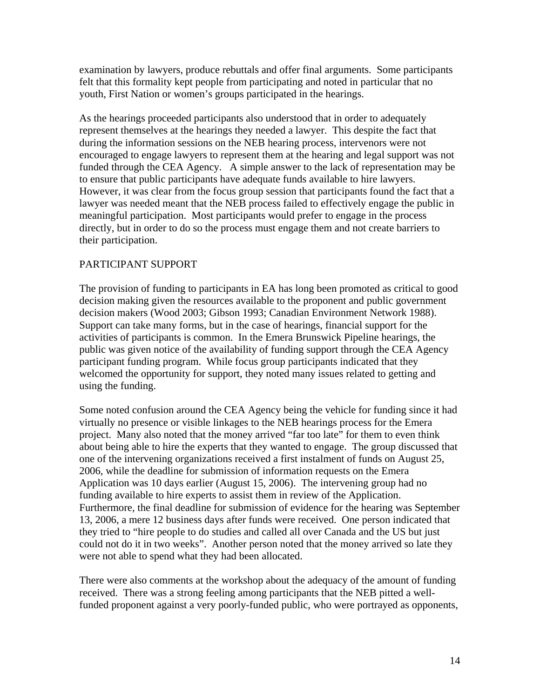examination by lawyers, produce rebuttals and offer final arguments. Some participants felt that this formality kept people from participating and noted in particular that no youth, First Nation or women's groups participated in the hearings.

As the hearings proceeded participants also understood that in order to adequately represent themselves at the hearings they needed a lawyer. This despite the fact that during the information sessions on the NEB hearing process, intervenors were not encouraged to engage lawyers to represent them at the hearing and legal support was not funded through the CEA Agency. A simple answer to the lack of representation may be to ensure that public participants have adequate funds available to hire lawyers. However, it was clear from the focus group session that participants found the fact that a lawyer was needed meant that the NEB process failed to effectively engage the public in meaningful participation. Most participants would prefer to engage in the process directly, but in order to do so the process must engage them and not create barriers to their participation.

## PARTICIPANT SUPPORT

The provision of funding to participants in EA has long been promoted as critical to good decision making given the resources available to the proponent and public government decision makers (Wood 2003; Gibson 1993; Canadian Environment Network 1988). Support can take many forms, but in the case of hearings, financial support for the activities of participants is common. In the Emera Brunswick Pipeline hearings, the public was given notice of the availability of funding support through the CEA Agency participant funding program. While focus group participants indicated that they welcomed the opportunity for support, they noted many issues related to getting and using the funding.

Some noted confusion around the CEA Agency being the vehicle for funding since it had virtually no presence or visible linkages to the NEB hearings process for the Emera project. Many also noted that the money arrived "far too late" for them to even think about being able to hire the experts that they wanted to engage. The group discussed that one of the intervening organizations received a first instalment of funds on August 25, 2006, while the deadline for submission of information requests on the Emera Application was 10 days earlier (August 15, 2006). The intervening group had no funding available to hire experts to assist them in review of the Application. Furthermore, the final deadline for submission of evidence for the hearing was September 13, 2006, a mere 12 business days after funds were received. One person indicated that they tried to "hire people to do studies and called all over Canada and the US but just could not do it in two weeks". Another person noted that the money arrived so late they were not able to spend what they had been allocated.

There were also comments at the workshop about the adequacy of the amount of funding received. There was a strong feeling among participants that the NEB pitted a wellfunded proponent against a very poorly-funded public, who were portrayed as opponents,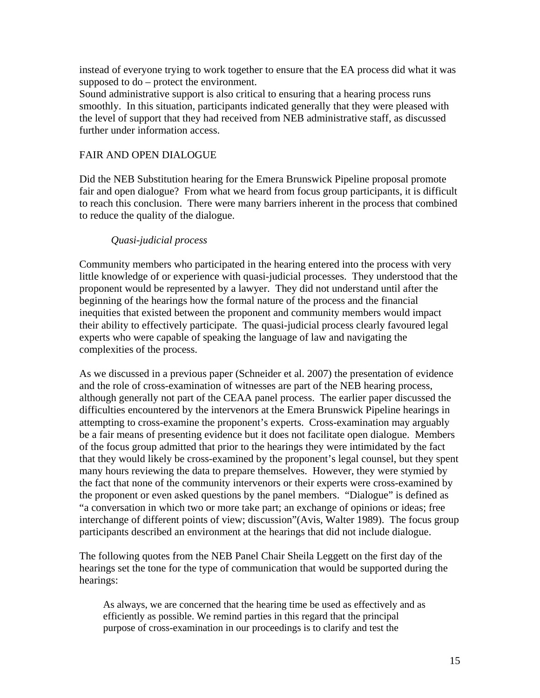instead of everyone trying to work together to ensure that the EA process did what it was supposed to do – protect the environment.

Sound administrative support is also critical to ensuring that a hearing process runs smoothly. In this situation, participants indicated generally that they were pleased with the level of support that they had received from NEB administrative staff, as discussed further under information access.

### FAIR AND OPEN DIALOGUE

Did the NEB Substitution hearing for the Emera Brunswick Pipeline proposal promote fair and open dialogue? From what we heard from focus group participants, it is difficult to reach this conclusion. There were many barriers inherent in the process that combined to reduce the quality of the dialogue.

### *Quasi-judicial process*

Community members who participated in the hearing entered into the process with very little knowledge of or experience with quasi-judicial processes. They understood that the proponent would be represented by a lawyer. They did not understand until after the beginning of the hearings how the formal nature of the process and the financial inequities that existed between the proponent and community members would impact their ability to effectively participate. The quasi-judicial process clearly favoured legal experts who were capable of speaking the language of law and navigating the complexities of the process.

As we discussed in a previous paper (Schneider et al. 2007) the presentation of evidence and the role of cross-examination of witnesses are part of the NEB hearing process, although generally not part of the CEAA panel process. The earlier paper discussed the difficulties encountered by the intervenors at the Emera Brunswick Pipeline hearings in attempting to cross-examine the proponent's experts. Cross-examination may arguably be a fair means of presenting evidence but it does not facilitate open dialogue. Members of the focus group admitted that prior to the hearings they were intimidated by the fact that they would likely be cross-examined by the proponent's legal counsel, but they spent many hours reviewing the data to prepare themselves. However, they were stymied by the fact that none of the community intervenors or their experts were cross-examined by the proponent or even asked questions by the panel members. "Dialogue" is defined as "a conversation in which two or more take part; an exchange of opinions or ideas; free interchange of different points of view; discussion"(Avis, Walter 1989). The focus group participants described an environment at the hearings that did not include dialogue.

The following quotes from the NEB Panel Chair Sheila Leggett on the first day of the hearings set the tone for the type of communication that would be supported during the hearings:

As always, we are concerned that the hearing time be used as effectively and as efficiently as possible. We remind parties in this regard that the principal purpose of cross-examination in our proceedings is to clarify and test the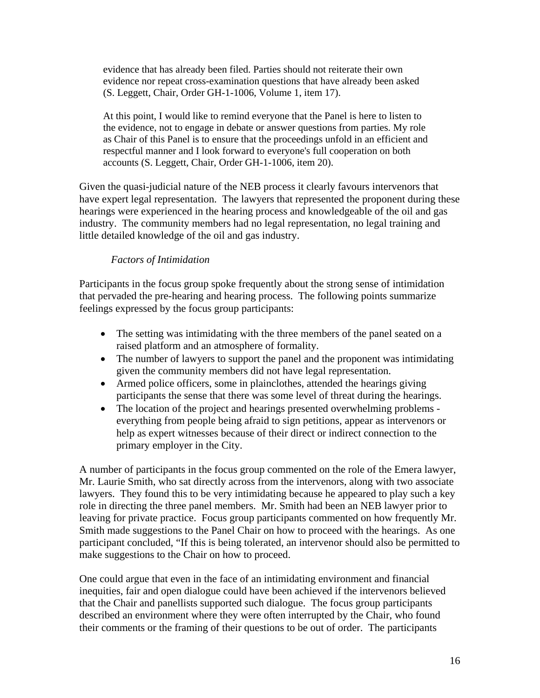evidence that has already been filed. Parties should not reiterate their own evidence nor repeat cross-examination questions that have already been asked (S. Leggett, Chair, Order GH-1-1006, Volume 1, item 17).

At this point, I would like to remind everyone that the Panel is here to listen to the evidence, not to engage in debate or answer questions from parties. My role as Chair of this Panel is to ensure that the proceedings unfold in an efficient and respectful manner and I look forward to everyone's full cooperation on both accounts (S. Leggett, Chair, Order GH-1-1006, item 20).

Given the quasi-judicial nature of the NEB process it clearly favours intervenors that have expert legal representation. The lawyers that represented the proponent during these hearings were experienced in the hearing process and knowledgeable of the oil and gas industry. The community members had no legal representation, no legal training and little detailed knowledge of the oil and gas industry.

## *Factors of Intimidation*

Participants in the focus group spoke frequently about the strong sense of intimidation that pervaded the pre-hearing and hearing process. The following points summarize feelings expressed by the focus group participants:

- The setting was intimidating with the three members of the panel seated on a raised platform and an atmosphere of formality.
- The number of lawyers to support the panel and the proponent was intimidating given the community members did not have legal representation.
- Armed police officers, some in plainclothes, attended the hearings giving participants the sense that there was some level of threat during the hearings.
- The location of the project and hearings presented overwhelming problems everything from people being afraid to sign petitions, appear as intervenors or help as expert witnesses because of their direct or indirect connection to the primary employer in the City.

A number of participants in the focus group commented on the role of the Emera lawyer, Mr. Laurie Smith, who sat directly across from the intervenors, along with two associate lawyers. They found this to be very intimidating because he appeared to play such a key role in directing the three panel members. Mr. Smith had been an NEB lawyer prior to leaving for private practice. Focus group participants commented on how frequently Mr. Smith made suggestions to the Panel Chair on how to proceed with the hearings. As one participant concluded, "If this is being tolerated, an intervenor should also be permitted to make suggestions to the Chair on how to proceed.

One could argue that even in the face of an intimidating environment and financial inequities, fair and open dialogue could have been achieved if the intervenors believed that the Chair and panellists supported such dialogue. The focus group participants described an environment where they were often interrupted by the Chair, who found their comments or the framing of their questions to be out of order. The participants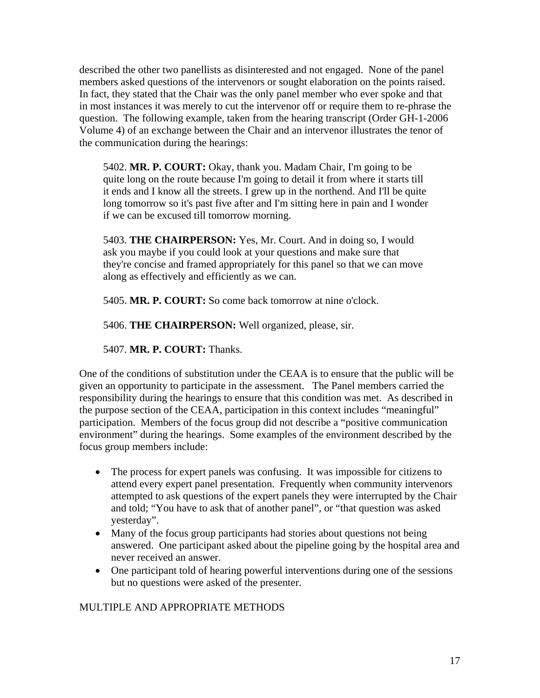described the other two panellists as disinterested and not engaged. None of the panel members asked questions of the intervenors or sought elaboration on the points raised. In fact, they stated that the Chair was the only panel member who ever spoke and that in most instances it was merely to cut the intervenor off or require them to re-phrase the question. The following example, taken from the hearing transcript (Order GH-1-2006 Volume 4) of an exchange between the Chair and an intervenor illustrates the tenor of the communication during the hearings:

5402. **MR. P. COURT:** Okay, thank you. Madam Chair, I'm going to be quite long on the route because I'm going to detail it from where it starts till it ends and I know all the streets. I grew up in the northend. And I'll be quite long tomorrow so it's past five after and I'm sitting here in pain and I wonder if we can be excused till tomorrow morning.

5403. **THE CHAIRPERSON:** Yes, Mr. Court. And in doing so, I would ask you maybe if you could look at your questions and make sure that they're concise and framed appropriately for this panel so that we can move along as effectively and efficiently as we can.

5405. **MR. P. COURT:** So come back tomorrow at nine o'clock.

5406. **THE CHAIRPERSON:** Well organized, please, sir.

5407. **MR. P. COURT:** Thanks.

One of the conditions of substitution under the CEAA is to ensure that the public will be given an opportunity to participate in the assessment. The Panel members carried the responsibility during the hearings to ensure that this condition was met. As described in the purpose section of the CEAA, participation in this context includes "meaningful" participation. Members of the focus group did not describe a "positive communication environment" during the hearings. Some examples of the environment described by the focus group members include:

- The process for expert panels was confusing. It was impossible for citizens to attend every expert panel presentation. Frequently when community intervenors attempted to ask questions of the expert panels they were interrupted by the Chair and told; "You have to ask that of another panel", or "that question was asked yesterday".
- Many of the focus group participants had stories about questions not being answered. One participant asked about the pipeline going by the hospital area and never received an answer.
- One participant told of hearing powerful interventions during one of the sessions but no questions were asked of the presenter.

MULTIPLE AND APPROPRIATE METHODS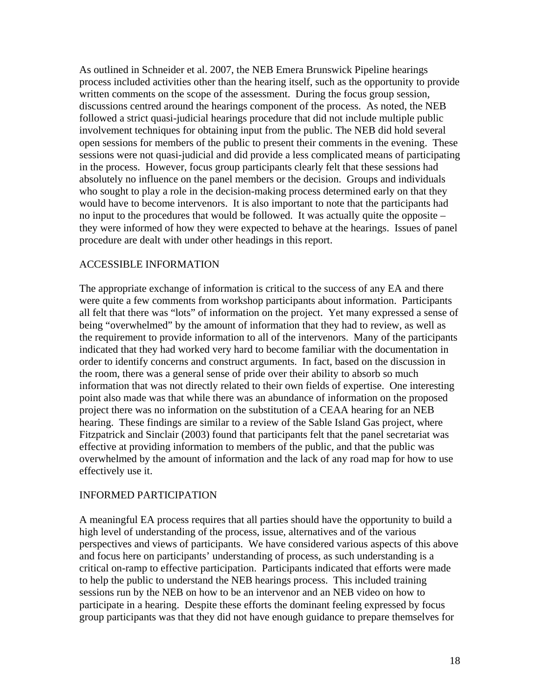As outlined in Schneider et al. 2007, the NEB Emera Brunswick Pipeline hearings process included activities other than the hearing itself, such as the opportunity to provide written comments on the scope of the assessment. During the focus group session, discussions centred around the hearings component of the process. As noted, the NEB followed a strict quasi-judicial hearings procedure that did not include multiple public involvement techniques for obtaining input from the public. The NEB did hold several open sessions for members of the public to present their comments in the evening. These sessions were not quasi-judicial and did provide a less complicated means of participating in the process. However, focus group participants clearly felt that these sessions had absolutely no influence on the panel members or the decision. Groups and individuals who sought to play a role in the decision-making process determined early on that they would have to become intervenors. It is also important to note that the participants had no input to the procedures that would be followed. It was actually quite the opposite – they were informed of how they were expected to behave at the hearings. Issues of panel procedure are dealt with under other headings in this report.

#### ACCESSIBLE INFORMATION

The appropriate exchange of information is critical to the success of any EA and there were quite a few comments from workshop participants about information. Participants all felt that there was "lots" of information on the project. Yet many expressed a sense of being "overwhelmed" by the amount of information that they had to review, as well as the requirement to provide information to all of the intervenors. Many of the participants indicated that they had worked very hard to become familiar with the documentation in order to identify concerns and construct arguments. In fact, based on the discussion in the room, there was a general sense of pride over their ability to absorb so much information that was not directly related to their own fields of expertise. One interesting point also made was that while there was an abundance of information on the proposed project there was no information on the substitution of a CEAA hearing for an NEB hearing. These findings are similar to a review of the Sable Island Gas project, where Fitzpatrick and Sinclair (2003) found that participants felt that the panel secretariat was effective at providing information to members of the public, and that the public was overwhelmed by the amount of information and the lack of any road map for how to use effectively use it.

#### INFORMED PARTICIPATION

A meaningful EA process requires that all parties should have the opportunity to build a high level of understanding of the process, issue, alternatives and of the various perspectives and views of participants. We have considered various aspects of this above and focus here on participants' understanding of process, as such understanding is a critical on-ramp to effective participation. Participants indicated that efforts were made to help the public to understand the NEB hearings process. This included training sessions run by the NEB on how to be an intervenor and an NEB video on how to participate in a hearing. Despite these efforts the dominant feeling expressed by focus group participants was that they did not have enough guidance to prepare themselves for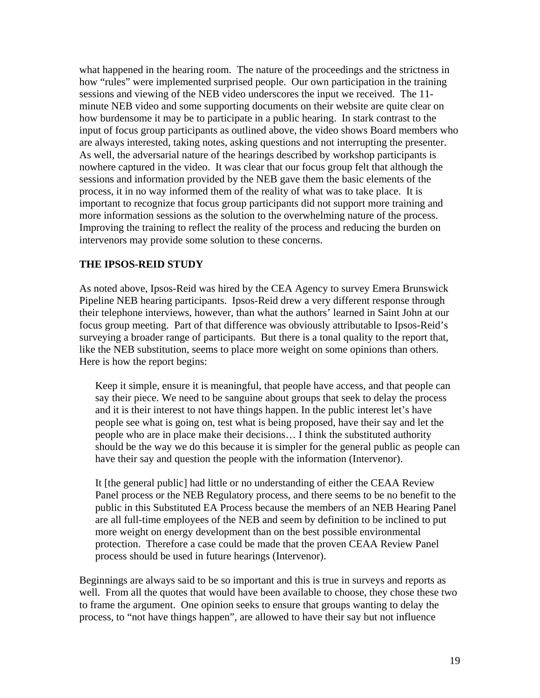what happened in the hearing room. The nature of the proceedings and the strictness in how "rules" were implemented surprised people. Our own participation in the training sessions and viewing of the NEB video underscores the input we received. The 11 minute NEB video and some supporting documents on their website are quite clear on how burdensome it may be to participate in a public hearing. In stark contrast to the input of focus group participants as outlined above, the video shows Board members who are always interested, taking notes, asking questions and not interrupting the presenter. As well, the adversarial nature of the hearings described by workshop participants is nowhere captured in the video. It was clear that our focus group felt that although the sessions and information provided by the NEB gave them the basic elements of the process, it in no way informed them of the reality of what was to take place. It is important to recognize that focus group participants did not support more training and more information sessions as the solution to the overwhelming nature of the process. Improving the training to reflect the reality of the process and reducing the burden on intervenors may provide some solution to these concerns.

### **THE IPSOS-REID STUDY**

As noted above, Ipsos-Reid was hired by the CEA Agency to survey Emera Brunswick Pipeline NEB hearing participants. Ipsos-Reid drew a very different response through their telephone interviews, however, than what the authors' learned in Saint John at our focus group meeting. Part of that difference was obviously attributable to Ipsos-Reid's surveying a broader range of participants. But there is a tonal quality to the report that, like the NEB substitution, seems to place more weight on some opinions than others. Here is how the report begins:

Keep it simple, ensure it is meaningful, that people have access, and that people can say their piece. We need to be sanguine about groups that seek to delay the process and it is their interest to not have things happen. In the public interest let's have people see what is going on, test what is being proposed, have their say and let the people who are in place make their decisions… I think the substituted authority should be the way we do this because it is simpler for the general public as people can have their say and question the people with the information (Intervenor).

It [the general public] had little or no understanding of either the CEAA Review Panel process or the NEB Regulatory process, and there seems to be no benefit to the public in this Substituted EA Process because the members of an NEB Hearing Panel are all full-time employees of the NEB and seem by definition to be inclined to put more weight on energy development than on the best possible environmental protection. Therefore a case could be made that the proven CEAA Review Panel process should be used in future hearings (Intervenor).

Beginnings are always said to be so important and this is true in surveys and reports as well. From all the quotes that would have been available to choose, they chose these two to frame the argument. One opinion seeks to ensure that groups wanting to delay the process, to "not have things happen", are allowed to have their say but not influence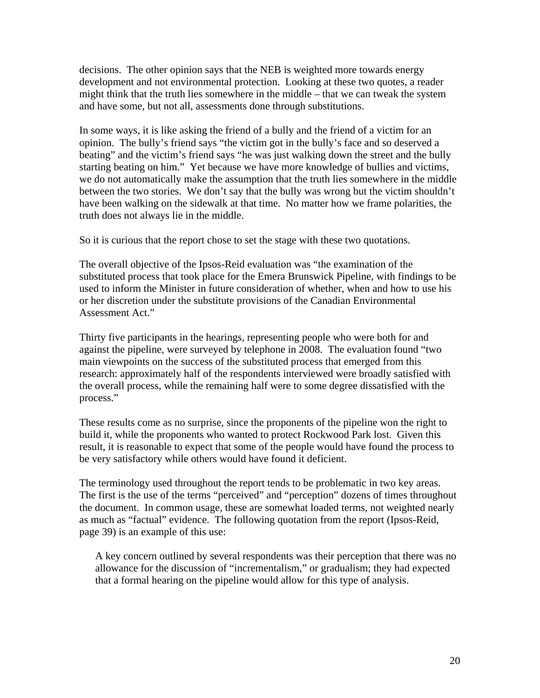decisions. The other opinion says that the NEB is weighted more towards energy development and not environmental protection. Looking at these two quotes, a reader might think that the truth lies somewhere in the middle – that we can tweak the system and have some, but not all, assessments done through substitutions.

In some ways, it is like asking the friend of a bully and the friend of a victim for an opinion. The bully's friend says "the victim got in the bully's face and so deserved a beating" and the victim's friend says "he was just walking down the street and the bully starting beating on him." Yet because we have more knowledge of bullies and victims, we do not automatically make the assumption that the truth lies somewhere in the middle between the two stories. We don't say that the bully was wrong but the victim shouldn't have been walking on the sidewalk at that time. No matter how we frame polarities, the truth does not always lie in the middle.

So it is curious that the report chose to set the stage with these two quotations.

The overall objective of the Ipsos-Reid evaluation was "the examination of the substituted process that took place for the Emera Brunswick Pipeline, with findings to be used to inform the Minister in future consideration of whether, when and how to use his or her discretion under the substitute provisions of the Canadian Environmental Assessment Act."

Thirty five participants in the hearings, representing people who were both for and against the pipeline, were surveyed by telephone in 2008. The evaluation found "two main viewpoints on the success of the substituted process that emerged from this research: approximately half of the respondents interviewed were broadly satisfied with the overall process, while the remaining half were to some degree dissatisfied with the process."

These results come as no surprise, since the proponents of the pipeline won the right to build it, while the proponents who wanted to protect Rockwood Park lost. Given this result, it is reasonable to expect that some of the people would have found the process to be very satisfactory while others would have found it deficient.

The terminology used throughout the report tends to be problematic in two key areas. The first is the use of the terms "perceived" and "perception" dozens of times throughout the document. In common usage, these are somewhat loaded terms, not weighted nearly as much as "factual" evidence. The following quotation from the report (Ipsos-Reid, page 39) is an example of this use:

A key concern outlined by several respondents was their perception that there was no allowance for the discussion of "incrementalism," or gradualism; they had expected that a formal hearing on the pipeline would allow for this type of analysis.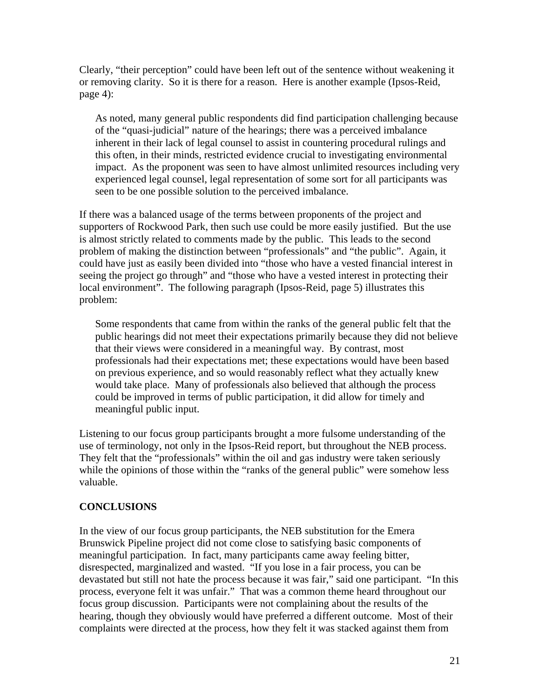Clearly, "their perception" could have been left out of the sentence without weakening it or removing clarity. So it is there for a reason. Here is another example (Ipsos-Reid, page 4):

As noted, many general public respondents did find participation challenging because of the "quasi-judicial" nature of the hearings; there was a perceived imbalance inherent in their lack of legal counsel to assist in countering procedural rulings and this often, in their minds, restricted evidence crucial to investigating environmental impact. As the proponent was seen to have almost unlimited resources including very experienced legal counsel, legal representation of some sort for all participants was seen to be one possible solution to the perceived imbalance.

If there was a balanced usage of the terms between proponents of the project and supporters of Rockwood Park, then such use could be more easily justified. But the use is almost strictly related to comments made by the public. This leads to the second problem of making the distinction between "professionals" and "the public". Again, it could have just as easily been divided into "those who have a vested financial interest in seeing the project go through" and "those who have a vested interest in protecting their local environment". The following paragraph (Ipsos-Reid, page 5) illustrates this problem:

Some respondents that came from within the ranks of the general public felt that the public hearings did not meet their expectations primarily because they did not believe that their views were considered in a meaningful way. By contrast, most professionals had their expectations met; these expectations would have been based on previous experience, and so would reasonably reflect what they actually knew would take place. Many of professionals also believed that although the process could be improved in terms of public participation, it did allow for timely and meaningful public input.

Listening to our focus group participants brought a more fulsome understanding of the use of terminology, not only in the Ipsos-Reid report, but throughout the NEB process. They felt that the "professionals" within the oil and gas industry were taken seriously while the opinions of those within the "ranks of the general public" were somehow less valuable.

## **CONCLUSIONS**

In the view of our focus group participants, the NEB substitution for the Emera Brunswick Pipeline project did not come close to satisfying basic components of meaningful participation. In fact, many participants came away feeling bitter, disrespected, marginalized and wasted. "If you lose in a fair process, you can be devastated but still not hate the process because it was fair," said one participant. "In this process, everyone felt it was unfair." That was a common theme heard throughout our focus group discussion. Participants were not complaining about the results of the hearing, though they obviously would have preferred a different outcome. Most of their complaints were directed at the process, how they felt it was stacked against them from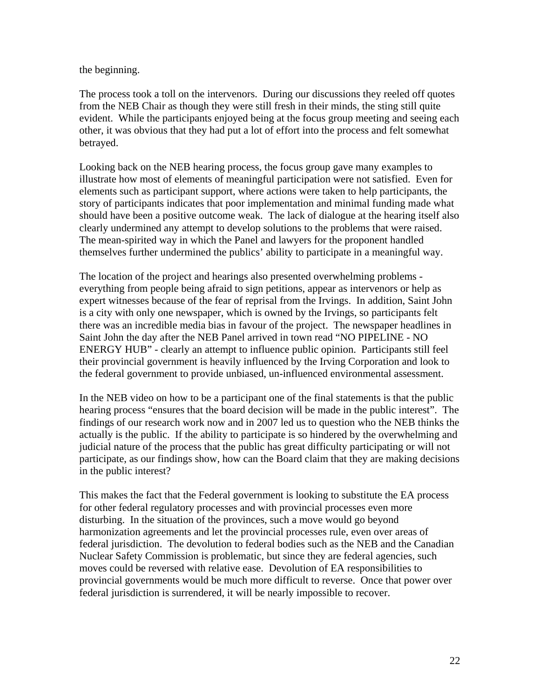the beginning.

The process took a toll on the intervenors. During our discussions they reeled off quotes from the NEB Chair as though they were still fresh in their minds, the sting still quite evident. While the participants enjoyed being at the focus group meeting and seeing each other, it was obvious that they had put a lot of effort into the process and felt somewhat betrayed.

Looking back on the NEB hearing process, the focus group gave many examples to illustrate how most of elements of meaningful participation were not satisfied. Even for elements such as participant support, where actions were taken to help participants, the story of participants indicates that poor implementation and minimal funding made what should have been a positive outcome weak. The lack of dialogue at the hearing itself also clearly undermined any attempt to develop solutions to the problems that were raised. The mean-spirited way in which the Panel and lawyers for the proponent handled themselves further undermined the publics' ability to participate in a meaningful way.

The location of the project and hearings also presented overwhelming problems everything from people being afraid to sign petitions, appear as intervenors or help as expert witnesses because of the fear of reprisal from the Irvings. In addition, Saint John is a city with only one newspaper, which is owned by the Irvings, so participants felt there was an incredible media bias in favour of the project. The newspaper headlines in Saint John the day after the NEB Panel arrived in town read "NO PIPELINE - NO ENERGY HUB" - clearly an attempt to influence public opinion. Participants still feel their provincial government is heavily influenced by the Irving Corporation and look to the federal government to provide unbiased, un-influenced environmental assessment.

In the NEB video on how to be a participant one of the final statements is that the public hearing process "ensures that the board decision will be made in the public interest". The findings of our research work now and in 2007 led us to question who the NEB thinks the actually is the public. If the ability to participate is so hindered by the overwhelming and judicial nature of the process that the public has great difficulty participating or will not participate, as our findings show, how can the Board claim that they are making decisions in the public interest?

This makes the fact that the Federal government is looking to substitute the EA process for other federal regulatory processes and with provincial processes even more disturbing. In the situation of the provinces, such a move would go beyond harmonization agreements and let the provincial processes rule, even over areas of federal jurisdiction. The devolution to federal bodies such as the NEB and the Canadian Nuclear Safety Commission is problematic, but since they are federal agencies, such moves could be reversed with relative ease. Devolution of EA responsibilities to provincial governments would be much more difficult to reverse. Once that power over federal jurisdiction is surrendered, it will be nearly impossible to recover.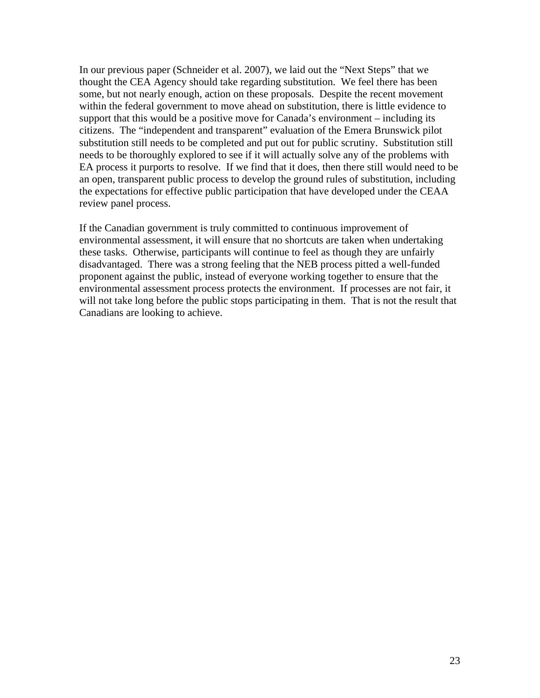In our previous paper (Schneider et al. 2007), we laid out the "Next Steps" that we thought the CEA Agency should take regarding substitution. We feel there has been some, but not nearly enough, action on these proposals. Despite the recent movement within the federal government to move ahead on substitution, there is little evidence to support that this would be a positive move for Canada's environment – including its citizens. The "independent and transparent" evaluation of the Emera Brunswick pilot substitution still needs to be completed and put out for public scrutiny. Substitution still needs to be thoroughly explored to see if it will actually solve any of the problems with EA process it purports to resolve. If we find that it does, then there still would need to be an open, transparent public process to develop the ground rules of substitution, including the expectations for effective public participation that have developed under the CEAA review panel process.

If the Canadian government is truly committed to continuous improvement of environmental assessment, it will ensure that no shortcuts are taken when undertaking these tasks. Otherwise, participants will continue to feel as though they are unfairly disadvantaged. There was a strong feeling that the NEB process pitted a well-funded proponent against the public, instead of everyone working together to ensure that the environmental assessment process protects the environment. If processes are not fair, it will not take long before the public stops participating in them. That is not the result that Canadians are looking to achieve.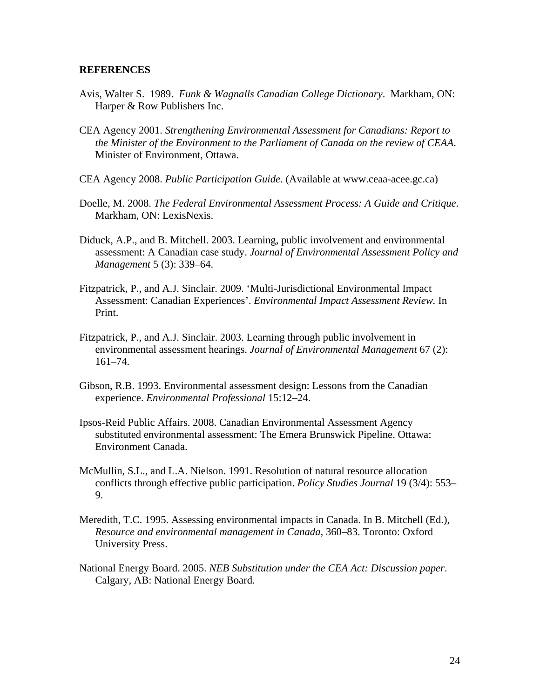#### **REFERENCES**

- Avis, Walter S. 1989. *Funk & Wagnalls Canadian College Dictionary*. Markham, ON: Harper & Row Publishers Inc.
- CEA Agency 2001. *Strengthening Environmental Assessment for Canadians: Report to the Minister of the Environment to the Parliament of Canada on the review of CEAA*. Minister of Environment, Ottawa.
- CEA Agency 2008. *Public Participation Guide*. (Available at www.ceaa-acee.gc.ca)
- Doelle, M. 2008. *The Federal Environmental Assessment Process: A Guide and Critique*. Markham, ON: LexisNexis.
- Diduck, A.P., and B. Mitchell. 2003. Learning, public involvement and environmental assessment: A Canadian case study. *Journal of Environmental Assessment Policy and Management* 5 (3): 339–64.
- Fitzpatrick, P., and A.J. Sinclair. 2009. 'Multi-Jurisdictional Environmental Impact Assessment: Canadian Experiences'. *Environmental Impact Assessment Review.* In Print.
- Fitzpatrick, P., and A.J. Sinclair. 2003. Learning through public involvement in environmental assessment hearings. *Journal of Environmental Management* 67 (2): 161–74.
- Gibson, R.B. 1993. Environmental assessment design: Lessons from the Canadian experience. *Environmental Professional* 15:12–24.
- Ipsos-Reid Public Affairs. 2008. Canadian Environmental Assessment Agency substituted environmental assessment: The Emera Brunswick Pipeline. Ottawa: Environment Canada.
- McMullin, S.L., and L.A. Nielson. 1991. Resolution of natural resource allocation conflicts through effective public participation. *Policy Studies Journal* 19 (3/4): 553– 9.
- Meredith, T.C. 1995. Assessing environmental impacts in Canada. In B. Mitchell (Ed.), *Resource and environmental management in Canada*, 360–83. Toronto: Oxford University Press.
- National Energy Board. 2005. *NEB Substitution under the CEA Act: Discussion paper*. Calgary, AB: National Energy Board.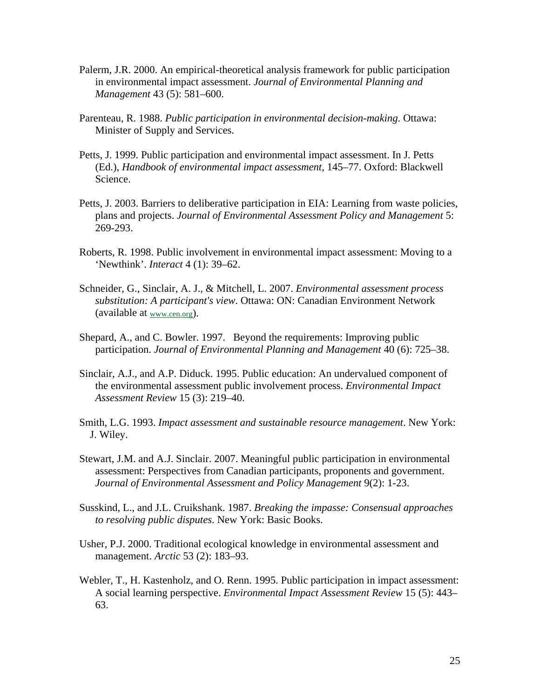- Palerm, J.R. 2000. An empirical-theoretical analysis framework for public participation in environmental impact assessment. *Journal of Environmental Planning and Management* 43 (5): 581–600.
- Parenteau, R. 1988. *Public participation in environmental decision-making*. Ottawa: Minister of Supply and Services.
- Petts, J. 1999. Public participation and environmental impact assessment. In J. Petts (Ed.), *Handbook of environmental impact assessment*, 145–77. Oxford: Blackwell Science.
- Petts, J. 2003. Barriers to deliberative participation in EIA: Learning from waste policies, plans and projects. *Journal of Environmental Assessment Policy and Management* 5: 269-293.
- Roberts, R. 1998. Public involvement in environmental impact assessment: Moving to a 'Newthink'. *Interact* 4 (1): 39–62.
- Schneider, G., Sinclair, A. J., & Mitchell, L. 2007. *Environmental assessment process substitution: A participant's view*. Ottawa: ON: Canadian Environment Network (available at [www.cen.org](http://www.cen.org/)).
- Shepard, A., and C. Bowler. 1997. Beyond the requirements: Improving public participation. *Journal of Environmental Planning and Management* 40 (6): 725–38.
- Sinclair, A.J., and A.P. Diduck. 1995. Public education: An undervalued component of the environmental assessment public involvement process. *Environmental Impact Assessment Review* 15 (3): 219–40.
- Smith, L.G. 1993. *Impact assessment and sustainable resource management*. New York: J. Wiley.
- Stewart, J.M. and A.J. Sinclair. 2007. Meaningful public participation in environmental assessment: Perspectives from Canadian participants, proponents and government. *Journal of Environmental Assessment and Policy Management* 9(2): 1-23.
- Susskind, L., and J.L. Cruikshank. 1987. *Breaking the impasse: Consensual approaches to resolving public disputes*. New York: Basic Books.
- Usher, P.J. 2000. Traditional ecological knowledge in environmental assessment and management. *Arctic* 53 (2): 183–93.
- Webler, T., H. Kastenholz, and O. Renn. 1995. Public participation in impact assessment: A social learning perspective. *Environmental Impact Assessment Review* 15 (5): 443– 63.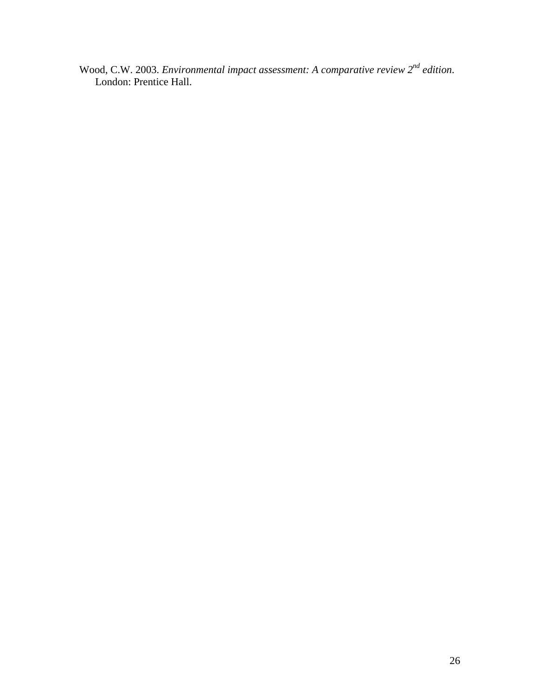Wood, C.W. 2003. *Environmental impact assessment: A comparative review 2nd edition*. London: Prentice Hall.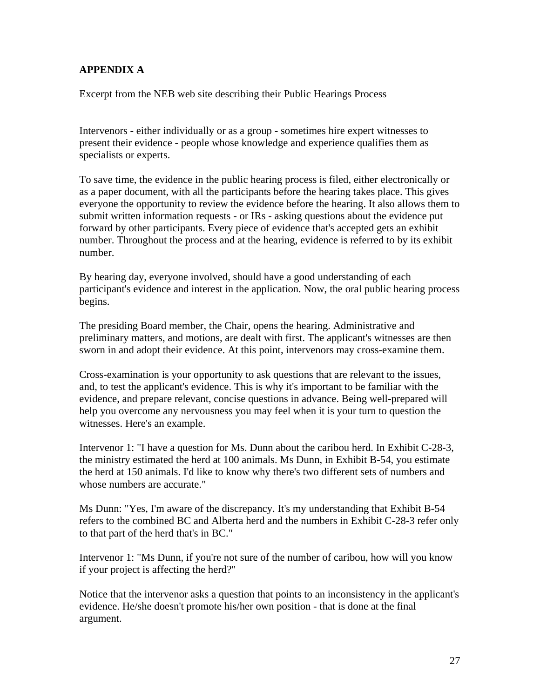## **APPENDIX A**

Excerpt from the NEB web site describing their Public Hearings Process

Intervenors - either individually or as a group - sometimes hire expert witnesses to present their evidence - people whose knowledge and experience qualifies them as specialists or experts.

To save time, the evidence in the public hearing process is filed, either electronically or as a paper document, with all the participants before the hearing takes place. This gives everyone the opportunity to review the evidence before the hearing. It also allows them to submit written information requests - or IRs - asking questions about the evidence put forward by other participants. Every piece of evidence that's accepted gets an exhibit number. Throughout the process and at the hearing, evidence is referred to by its exhibit number.

By hearing day, everyone involved, should have a good understanding of each participant's evidence and interest in the application. Now, the oral public hearing process begins.

The presiding Board member, the Chair, opens the hearing. Administrative and preliminary matters, and motions, are dealt with first. The applicant's witnesses are then sworn in and adopt their evidence. At this point, intervenors may cross-examine them.

Cross-examination is your opportunity to ask questions that are relevant to the issues, and, to test the applicant's evidence. This is why it's important to be familiar with the evidence, and prepare relevant, concise questions in advance. Being well-prepared will help you overcome any nervousness you may feel when it is your turn to question the witnesses. Here's an example.

Intervenor 1: "I have a question for Ms. Dunn about the caribou herd. In Exhibit C-28-3, the ministry estimated the herd at 100 animals. Ms Dunn, in Exhibit B-54, you estimate the herd at 150 animals. I'd like to know why there's two different sets of numbers and whose numbers are accurate."

Ms Dunn: "Yes, I'm aware of the discrepancy. It's my understanding that Exhibit B-54 refers to the combined BC and Alberta herd and the numbers in Exhibit C-28-3 refer only to that part of the herd that's in BC."

Intervenor 1: "Ms Dunn, if you're not sure of the number of caribou, how will you know if your project is affecting the herd?"

Notice that the intervenor asks a question that points to an inconsistency in the applicant's evidence. He/she doesn't promote his/her own position - that is done at the final argument.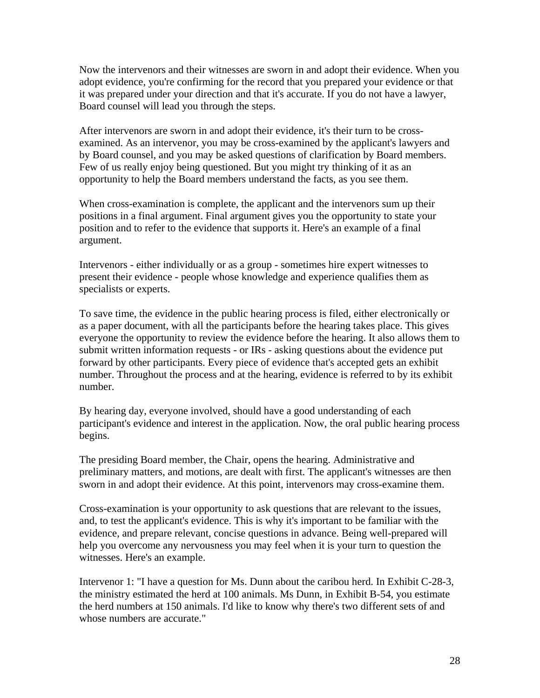Now the intervenors and their witnesses are sworn in and adopt their evidence. When you adopt evidence, you're confirming for the record that you prepared your evidence or that it was prepared under your direction and that it's accurate. If you do not have a lawyer, Board counsel will lead you through the steps.

After intervenors are sworn in and adopt their evidence, it's their turn to be crossexamined. As an intervenor, you may be cross-examined by the applicant's lawyers and by Board counsel, and you may be asked questions of clarification by Board members. Few of us really enjoy being questioned. But you might try thinking of it as an opportunity to help the Board members understand the facts, as you see them.

When cross-examination is complete, the applicant and the intervenors sum up their positions in a final argument. Final argument gives you the opportunity to state your position and to refer to the evidence that supports it. Here's an example of a final argument.

Intervenors - either individually or as a group - sometimes hire expert witnesses to present their evidence - people whose knowledge and experience qualifies them as specialists or experts.

To save time, the evidence in the public hearing process is filed, either electronically or as a paper document, with all the participants before the hearing takes place. This gives everyone the opportunity to review the evidence before the hearing. It also allows them to submit written information requests - or IRs - asking questions about the evidence put forward by other participants. Every piece of evidence that's accepted gets an exhibit number. Throughout the process and at the hearing, evidence is referred to by its exhibit number.

By hearing day, everyone involved, should have a good understanding of each participant's evidence and interest in the application. Now, the oral public hearing process begins.

The presiding Board member, the Chair, opens the hearing. Administrative and preliminary matters, and motions, are dealt with first. The applicant's witnesses are then sworn in and adopt their evidence. At this point, intervenors may cross-examine them.

Cross-examination is your opportunity to ask questions that are relevant to the issues, and, to test the applicant's evidence. This is why it's important to be familiar with the evidence, and prepare relevant, concise questions in advance. Being well-prepared will help you overcome any nervousness you may feel when it is your turn to question the witnesses. Here's an example.

Intervenor 1: "I have a question for Ms. Dunn about the caribou herd. In Exhibit C-28-3, the ministry estimated the herd at 100 animals. Ms Dunn, in Exhibit B-54, you estimate the herd numbers at 150 animals. I'd like to know why there's two different sets of and whose numbers are accurate."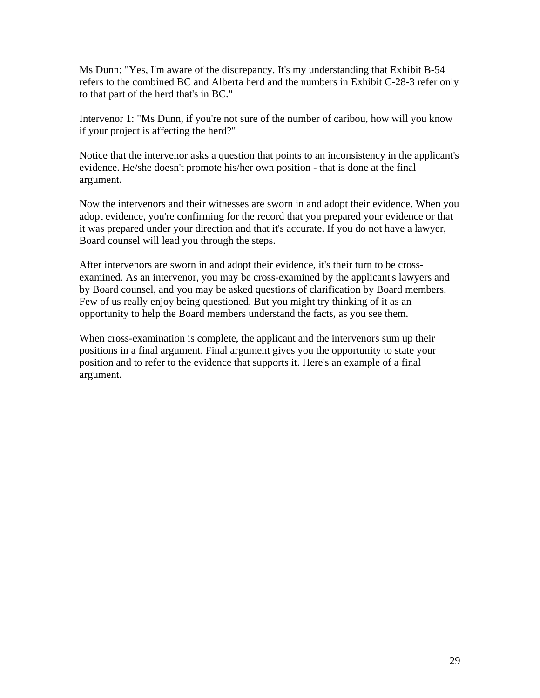Ms Dunn: "Yes, I'm aware of the discrepancy. It's my understanding that Exhibit B-54 refers to the combined BC and Alberta herd and the numbers in Exhibit C-28-3 refer only to that part of the herd that's in BC."

Intervenor 1: "Ms Dunn, if you're not sure of the number of caribou, how will you know if your project is affecting the herd?"

Notice that the intervenor asks a question that points to an inconsistency in the applicant's evidence. He/she doesn't promote his/her own position - that is done at the final argument.

Now the intervenors and their witnesses are sworn in and adopt their evidence. When you adopt evidence, you're confirming for the record that you prepared your evidence or that it was prepared under your direction and that it's accurate. If you do not have a lawyer, Board counsel will lead you through the steps.

After intervenors are sworn in and adopt their evidence, it's their turn to be crossexamined. As an intervenor, you may be cross-examined by the applicant's lawyers and by Board counsel, and you may be asked questions of clarification by Board members. Few of us really enjoy being questioned. But you might try thinking of it as an opportunity to help the Board members understand the facts, as you see them.

When cross-examination is complete, the applicant and the intervenors sum up their positions in a final argument. Final argument gives you the opportunity to state your position and to refer to the evidence that supports it. Here's an example of a final argument.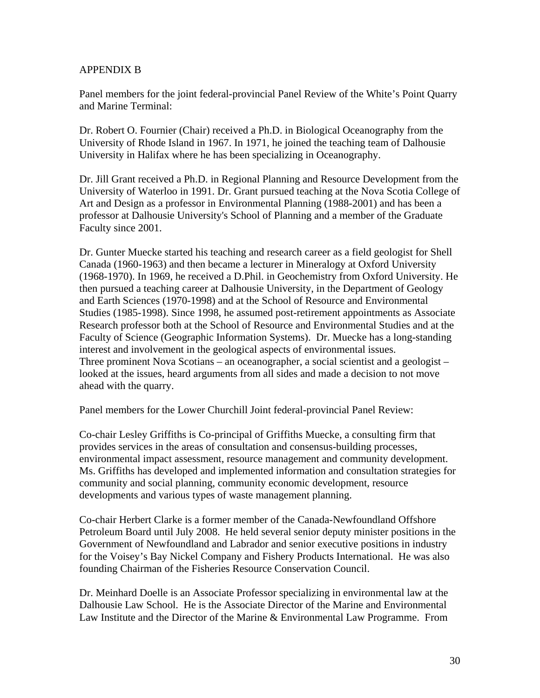### APPENDIX B

Panel members for the joint federal-provincial Panel Review of the White's Point Quarry and Marine Terminal:

Dr. Robert O. Fournier (Chair) received a Ph.D. in Biological Oceanography from the University of Rhode Island in 1967. In 1971, he joined the teaching team of Dalhousie University in Halifax where he has been specializing in Oceanography.

Dr. Jill Grant received a Ph.D. in Regional Planning and Resource Development from the University of Waterloo in 1991. Dr. Grant pursued teaching at the Nova Scotia College of Art and Design as a professor in Environmental Planning (1988-2001) and has been a professor at Dalhousie University's School of Planning and a member of the Graduate Faculty since 2001.

Dr. Gunter Muecke started his teaching and research career as a field geologist for Shell Canada (1960-1963) and then became a lecturer in Mineralogy at Oxford University (1968-1970). In 1969, he received a D.Phil. in Geochemistry from Oxford University. He then pursued a teaching career at Dalhousie University, in the Department of Geology and Earth Sciences (1970-1998) and at the School of Resource and Environmental Studies (1985-1998). Since 1998, he assumed post-retirement appointments as Associate Research professor both at the School of Resource and Environmental Studies and at the Faculty of Science (Geographic Information Systems). Dr. Muecke has a long-standing interest and involvement in the geological aspects of environmental issues. Three prominent Nova Scotians – an oceanographer, a social scientist and a geologist – looked at the issues, heard arguments from all sides and made a decision to not move ahead with the quarry.

Panel members for the Lower Churchill Joint federal-provincial Panel Review:

Co-chair Lesley Griffiths is Co-principal of Griffiths Muecke, a consulting firm that provides services in the areas of consultation and consensus-building processes, environmental impact assessment, resource management and community development. Ms. Griffiths has developed and implemented information and consultation strategies for community and social planning, community economic development, resource developments and various types of waste management planning.

Co-chair Herbert Clarke is a former member of the Canada-Newfoundland Offshore Petroleum Board until July 2008. He held several senior deputy minister positions in the Government of Newfoundland and Labrador and senior executive positions in industry for the Voisey's Bay Nickel Company and Fishery Products International. He was also founding Chairman of the Fisheries Resource Conservation Council.

Dr. Meinhard Doelle is an Associate Professor specializing in environmental law at the Dalhousie Law School. He is the Associate Director of the Marine and Environmental Law Institute and the Director of the Marine & Environmental Law Programme. From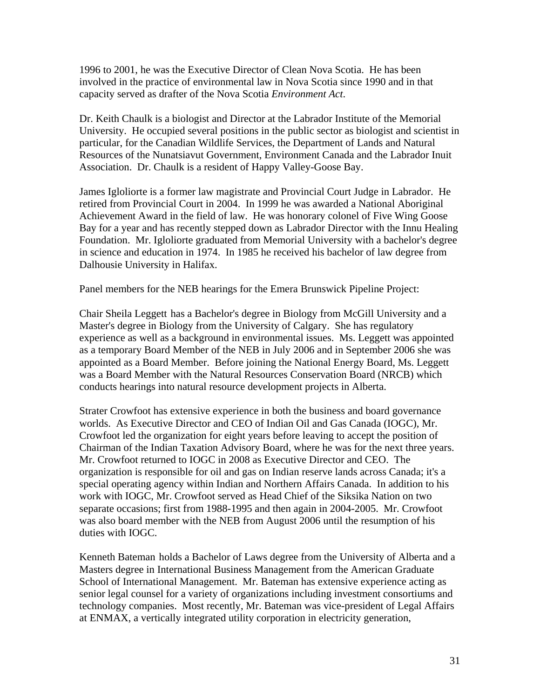1996 to 2001, he was the Executive Director of Clean Nova Scotia. He has been involved in the practice of environmental law in Nova Scotia since 1990 and in that capacity served as drafter of the Nova Scotia *Environment Act*.

Dr. Keith Chaulk is a biologist and Director at the Labrador Institute of the Memorial University. He occupied several positions in the public sector as biologist and scientist in particular, for the Canadian Wildlife Services, the Department of Lands and Natural Resources of the Nunatsiavut Government, Environment Canada and the Labrador Inuit Association. Dr. Chaulk is a resident of Happy Valley-Goose Bay.

James Igloliorte is a former law magistrate and Provincial Court Judge in Labrador. He retired from Provincial Court in 2004. In 1999 he was awarded a National Aboriginal Achievement Award in the field of law. He was honorary colonel of Five Wing Goose Bay for a year and has recently stepped down as Labrador Director with the Innu Healing Foundation. Mr. Igloliorte graduated from Memorial University with a bachelor's degree in science and education in 1974. In 1985 he received his bachelor of law degree from Dalhousie University in Halifax.

Panel members for the NEB hearings for the Emera Brunswick Pipeline Project:

Chair Sheila Leggett has a Bachelor's degree in Biology from McGill University and a Master's degree in Biology from the University of Calgary. She has regulatory experience as well as a background in environmental issues. Ms. Leggett was appointed as a temporary Board Member of the NEB in July 2006 and in September 2006 she was appointed as a Board Member. Before joining the National Energy Board, Ms. Leggett was a Board Member with the Natural Resources Conservation Board (NRCB) which conducts hearings into natural resource development projects in Alberta.

Strater Crowfoot has extensive experience in both the business and board governance worlds. As Executive Director and CEO of Indian Oil and Gas Canada (IOGC), Mr. Crowfoot led the organization for eight years before leaving to accept the position of Chairman of the Indian Taxation Advisory Board, where he was for the next three years. Mr. Crowfoot returned to IOGC in 2008 as Executive Director and CEO. The organization is responsible for oil and gas on Indian reserve lands across Canada; it's a special operating agency within Indian and Northern Affairs Canada. In addition to his work with IOGC, Mr. Crowfoot served as Head Chief of the Siksika Nation on two separate occasions; first from 1988-1995 and then again in 2004-2005. Mr. Crowfoot was also board member with the NEB from August 2006 until the resumption of his duties with IOGC.

Kenneth Bateman holds a Bachelor of Laws degree from the University of Alberta and a Masters degree in International Business Management from the American Graduate School of International Management. Mr. Bateman has extensive experience acting as senior legal counsel for a variety of organizations including investment consortiums and technology companies. Most recently, Mr. Bateman was vice-president of Legal Affairs at ENMAX, a vertically integrated utility corporation in electricity generation,